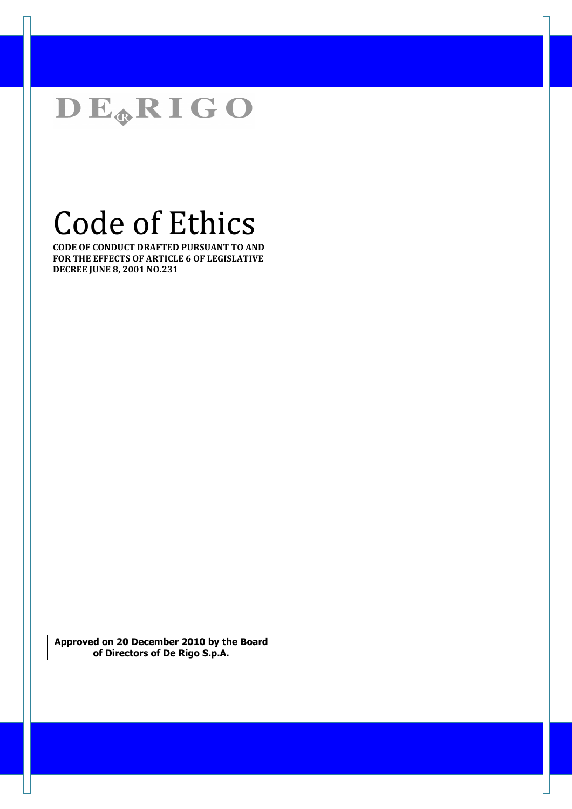

# Code of Ethics

CODE OF CONDUCT DRAFTED PURSUANT TO AND FOR THE EFFECTS OF ARTICLE 6 OF LEGISLATIVE DECREE JUNE 8, 2001 NO.231

Approved on 20 December 2010 by the Board of Directors of De Rigo S.p.A.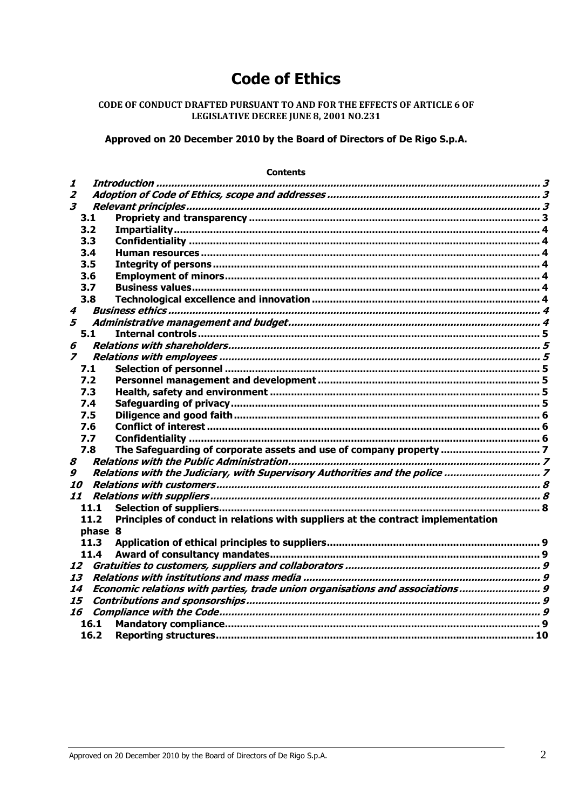## **Code of Ethics**

## CODE OF CONDUCT DRAFTED PURSUANT TO AND FOR THE EFFECTS OF ARTICLE 6 OF LEGISLATIVE DECREE JUNE 8, 2001 NO.231

Approved on 20 December 2010 by the Board of Directors of De Rigo S.p.A.

| <b>Contents</b>         |         |                                                                                  |  |
|-------------------------|---------|----------------------------------------------------------------------------------|--|
| 1                       |         |                                                                                  |  |
| $\overline{2}$          |         |                                                                                  |  |
| $\overline{\mathbf{3}}$ |         |                                                                                  |  |
|                         | 3.1     |                                                                                  |  |
|                         | 3.2     |                                                                                  |  |
|                         | 3.3     |                                                                                  |  |
|                         | 3.4     |                                                                                  |  |
|                         | 3.5     |                                                                                  |  |
|                         | 3.6     |                                                                                  |  |
|                         | 3.7     |                                                                                  |  |
|                         | 3.8     |                                                                                  |  |
| 4                       |         |                                                                                  |  |
| 5                       |         |                                                                                  |  |
|                         | 5.1     |                                                                                  |  |
| 6                       |         |                                                                                  |  |
| $\overline{z}$          |         |                                                                                  |  |
|                         | 7.1     |                                                                                  |  |
|                         | 7.2     |                                                                                  |  |
|                         | 7.3     |                                                                                  |  |
|                         | 7.4     |                                                                                  |  |
|                         | 7.5     |                                                                                  |  |
|                         | 7.6     |                                                                                  |  |
|                         | 7.7     |                                                                                  |  |
|                         | 7.8     | The Safeguarding of corporate assets and use of company property  7              |  |
| 8                       |         |                                                                                  |  |
| 9                       |         |                                                                                  |  |
| <i><b>10</b></i>        |         |                                                                                  |  |
| 11                      |         |                                                                                  |  |
|                         | 11.1    |                                                                                  |  |
|                         | 11.2    | Principles of conduct in relations with suppliers at the contract implementation |  |
|                         | phase 8 |                                                                                  |  |
|                         | 11.3    |                                                                                  |  |
|                         | 11.4    |                                                                                  |  |
| 12                      |         |                                                                                  |  |
| 13                      |         |                                                                                  |  |
| 14                      |         | Economic relations with parties, trade union organisations and associations 9    |  |
| 15                      |         |                                                                                  |  |
| 16                      |         |                                                                                  |  |
|                         | 16.1    |                                                                                  |  |
|                         | 16.2    |                                                                                  |  |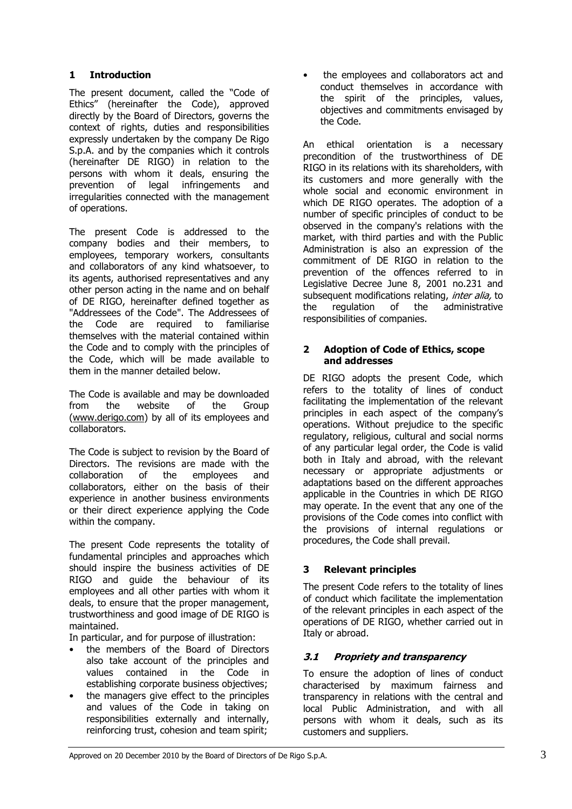## 1 Introduction

The present document, called the "Code of Ethics" (hereinafter the Code), approved directly by the Board of Directors, governs the context of rights, duties and responsibilities expressly undertaken by the company De Rigo S.p.A. and by the companies which it controls (hereinafter DE RIGO) in relation to the persons with whom it deals, ensuring the prevention of legal infringements and irregularities connected with the management of operations.

The present Code is addressed to the company bodies and their members, to employees, temporary workers, consultants and collaborators of any kind whatsoever, to its agents, authorised representatives and any other person acting in the name and on behalf of DE RIGO, hereinafter defined together as "Addressees of the Code". The Addressees of the Code are required to familiarise themselves with the material contained within the Code and to comply with the principles of the Code, which will be made available to them in the manner detailed below.

The Code is available and may be downloaded from the website of the Group (www.derigo.com) by all of its employees and collaborators.

The Code is subject to revision by the Board of Directors. The revisions are made with the collaboration of the employees and collaborators, either on the basis of their experience in another business environments or their direct experience applying the Code within the company.

The present Code represents the totality of fundamental principles and approaches which should inspire the business activities of DE RIGO and guide the behaviour of its employees and all other parties with whom it deals, to ensure that the proper management, trustworthiness and good image of DE RIGO is maintained.

In particular, and for purpose of illustration:

- the members of the Board of Directors also take account of the principles and values contained in the Code in establishing corporate business objectives;
- the managers give effect to the principles and values of the Code in taking on responsibilities externally and internally, reinforcing trust, cohesion and team spirit;

• the employees and collaborators act and conduct themselves in accordance with the spirit of the principles, values, objectives and commitments envisaged by the Code.

An ethical orientation is a necessary precondition of the trustworthiness of DE RIGO in its relations with its shareholders, with its customers and more generally with the whole social and economic environment in which DE RIGO operates. The adoption of a number of specific principles of conduct to be observed in the company's relations with the market, with third parties and with the Public Administration is also an expression of the commitment of DE RIGO in relation to the prevention of the offences referred to in Legislative Decree June 8, 2001 no.231 and subsequent modifications relating, inter alia, to the regulation of the administrative responsibilities of companies.

#### 2 Adoption of Code of Ethics, scope and addresses

DE RIGO adopts the present Code, which refers to the totality of lines of conduct facilitating the implementation of the relevant principles in each aspect of the company's operations. Without prejudice to the specific regulatory, religious, cultural and social norms of any particular legal order, the Code is valid both in Italy and abroad, with the relevant necessary or appropriate adjustments or adaptations based on the different approaches applicable in the Countries in which DE RIGO may operate. In the event that any one of the provisions of the Code comes into conflict with the provisions of internal regulations or procedures, the Code shall prevail.

## 3 Relevant principles

The present Code refers to the totality of lines of conduct which facilitate the implementation of the relevant principles in each aspect of the operations of DE RIGO, whether carried out in Italy or abroad.

## 3.1 Propriety and transparency

To ensure the adoption of lines of conduct characterised by maximum fairness and transparency in relations with the central and local Public Administration, and with all persons with whom it deals, such as its customers and suppliers.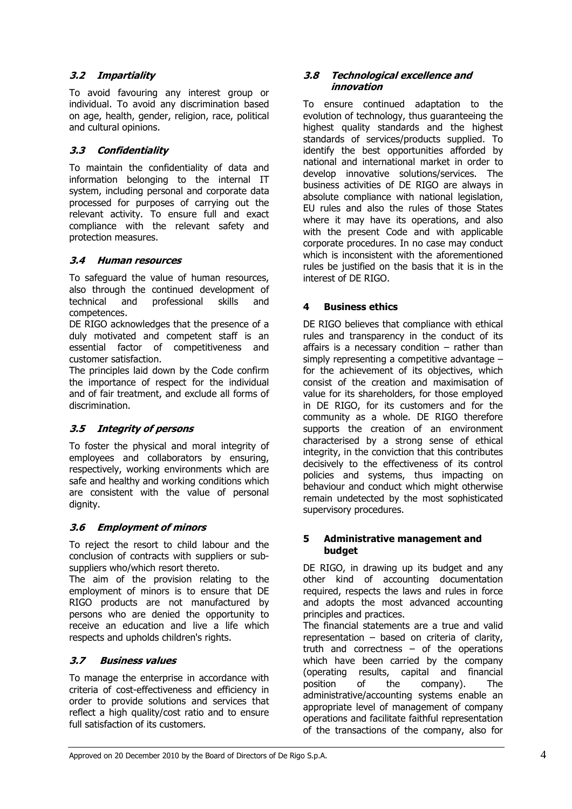## 3.2 Impartiality

To avoid favouring any interest group or individual. To avoid any discrimination based on age, health, gender, religion, race, political and cultural opinions.

## 3.3 Confidentiality

To maintain the confidentiality of data and information belonging to the internal IT system, including personal and corporate data processed for purposes of carrying out the relevant activity. To ensure full and exact compliance with the relevant safety and protection measures.

## 3.4 Human resources

To safeguard the value of human resources, also through the continued development of technical and professional skills and competences.

DE RIGO acknowledges that the presence of a duly motivated and competent staff is an essential factor of competitiveness and customer satisfaction.

The principles laid down by the Code confirm the importance of respect for the individual and of fair treatment, and exclude all forms of discrimination.

## 3.5 Integrity of persons

To foster the physical and moral integrity of employees and collaborators by ensuring, respectively, working environments which are safe and healthy and working conditions which are consistent with the value of personal dignity.

## 3.6 Employment of minors

To reject the resort to child labour and the conclusion of contracts with suppliers or subsuppliers who/which resort thereto.

The aim of the provision relating to the employment of minors is to ensure that DE RIGO products are not manufactured by persons who are denied the opportunity to receive an education and live a life which respects and upholds children's rights.

## 3.7 Business values

To manage the enterprise in accordance with criteria of cost-effectiveness and efficiency in order to provide solutions and services that reflect a high quality/cost ratio and to ensure full satisfaction of its customers.

#### 3.8 Technological excellence and innovation

To ensure continued adaptation to the evolution of technology, thus guaranteeing the highest quality standards and the highest standards of services/products supplied. To identify the best opportunities afforded by national and international market in order to develop innovative solutions/services. The business activities of DE RIGO are always in absolute compliance with national legislation, EU rules and also the rules of those States where it may have its operations, and also with the present Code and with applicable corporate procedures. In no case may conduct which is inconsistent with the aforementioned rules be justified on the basis that it is in the interest of DE RIGO.

## 4 Business ethics

DE RIGO believes that compliance with ethical rules and transparency in the conduct of its affairs is a necessary condition  $-$  rather than simply representing a competitive advantage for the achievement of its objectives, which consist of the creation and maximisation of value for its shareholders, for those employed in DE RIGO, for its customers and for the community as a whole. DE RIGO therefore supports the creation of an environment characterised by a strong sense of ethical integrity, in the conviction that this contributes decisively to the effectiveness of its control policies and systems, thus impacting on behaviour and conduct which might otherwise remain undetected by the most sophisticated supervisory procedures.

#### 5 Administrative management and budget

DE RIGO, in drawing up its budget and any other kind of accounting documentation required, respects the laws and rules in force and adopts the most advanced accounting principles and practices.

The financial statements are a true and valid representation – based on criteria of clarity, truth and correctness – of the operations which have been carried by the company (operating results, capital and financial position of the company). The administrative/accounting systems enable an appropriate level of management of company operations and facilitate faithful representation of the transactions of the company, also for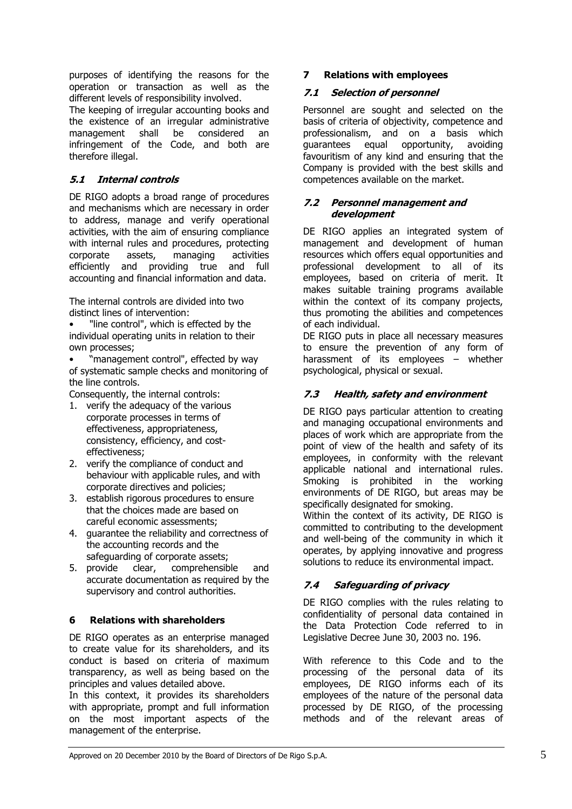purposes of identifying the reasons for the operation or transaction as well as the different levels of responsibility involved.

The keeping of irregular accounting books and the existence of an irregular administrative management shall be considered an infringement of the Code, and both are therefore illegal.

## 5.1 Internal controls

DE RIGO adopts a broad range of procedures and mechanisms which are necessary in order to address, manage and verify operational activities, with the aim of ensuring compliance with internal rules and procedures, protecting corporate assets, managing activities efficiently and providing true and full accounting and financial information and data.

The internal controls are divided into two distinct lines of intervention:

"line control", which is effected by the individual operating units in relation to their own processes;

• "management control", effected by way of systematic sample checks and monitoring of the line controls.

Consequently, the internal controls:

- 1. verify the adequacy of the various corporate processes in terms of effectiveness, appropriateness, consistency, efficiency, and costeffectiveness;
- 2. verify the compliance of conduct and behaviour with applicable rules, and with corporate directives and policies;
- 3. establish rigorous procedures to ensure that the choices made are based on careful economic assessments;
- 4. guarantee the reliability and correctness of the accounting records and the
- safeguarding of corporate assets;<br>5. provide clear, comprehensity clear, comprehensible and accurate documentation as required by the supervisory and control authorities.

## 6 Relations with shareholders

DE RIGO operates as an enterprise managed to create value for its shareholders, and its conduct is based on criteria of maximum transparency, as well as being based on the principles and values detailed above.

In this context, it provides its shareholders with appropriate, prompt and full information on the most important aspects of the management of the enterprise.

## 7 Relations with employees

#### 7.1 Selection of personnel

Personnel are sought and selected on the basis of criteria of objectivity, competence and professionalism, and on a basis which guarantees equal opportunity, avoiding favouritism of any kind and ensuring that the Company is provided with the best skills and competences available on the market.

#### 7.2 Personnel management and development

DE RIGO applies an integrated system of management and development of human resources which offers equal opportunities and professional development to all of its employees, based on criteria of merit. It makes suitable training programs available within the context of its company projects, thus promoting the abilities and competences of each individual.

DE RIGO puts in place all necessary measures to ensure the prevention of any form of harassment of its employees – whether psychological, physical or sexual.

## 7.3 Health, safety and environment

DE RIGO pays particular attention to creating and managing occupational environments and places of work which are appropriate from the point of view of the health and safety of its employees, in conformity with the relevant applicable national and international rules. Smoking is prohibited in the working environments of DE RIGO, but areas may be specifically designated for smoking.

Within the context of its activity, DE RIGO is committed to contributing to the development and well-being of the community in which it operates, by applying innovative and progress solutions to reduce its environmental impact.

## 7.4 Safeguarding of privacy

DE RIGO complies with the rules relating to confidentiality of personal data contained in the Data Protection Code referred to in Legislative Decree June 30, 2003 no. 196.

With reference to this Code and to the processing of the personal data of its employees, DE RIGO informs each of its employees of the nature of the personal data processed by DE RIGO, of the processing methods and of the relevant areas of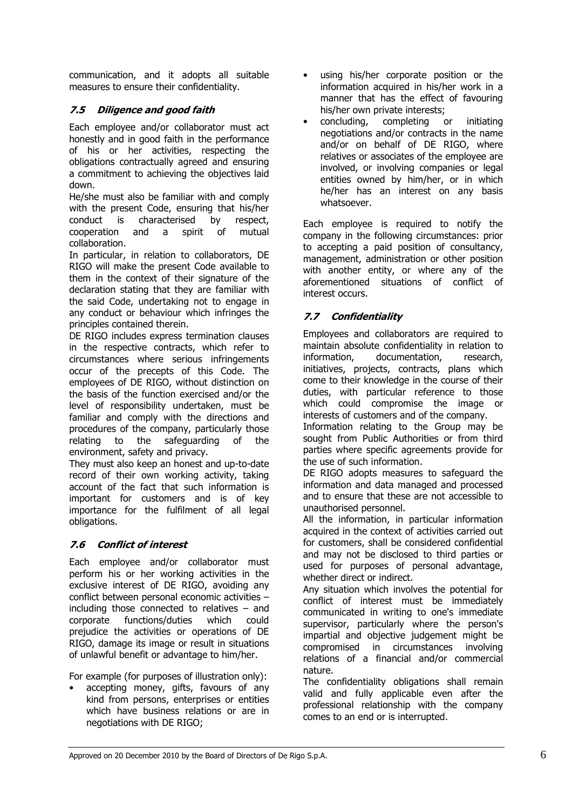communication, and it adopts all suitable measures to ensure their confidentiality.

## 7.5 Diligence and good faith

Each employee and/or collaborator must act honestly and in good faith in the performance of his or her activities, respecting the obligations contractually agreed and ensuring a commitment to achieving the objectives laid down.

He/she must also be familiar with and comply with the present Code, ensuring that his/her conduct is characterised by respect, cooperation and a spirit of mutual collaboration.

In particular, in relation to collaborators, DE RIGO will make the present Code available to them in the context of their signature of the declaration stating that they are familiar with the said Code, undertaking not to engage in any conduct or behaviour which infringes the principles contained therein.

DE RIGO includes express termination clauses in the respective contracts, which refer to circumstances where serious infringements occur of the precepts of this Code. The employees of DE RIGO, without distinction on the basis of the function exercised and/or the level of responsibility undertaken, must be familiar and comply with the directions and procedures of the company, particularly those relating to the safeguarding of the environment, safety and privacy.

They must also keep an honest and up-to-date record of their own working activity, taking account of the fact that such information is important for customers and is of key importance for the fulfilment of all legal obligations.

## 7.6 Conflict of interest

Each employee and/or collaborator must perform his or her working activities in the exclusive interest of DE RIGO, avoiding any conflict between personal economic activities – including those connected to relatives – and corporate functions/duties which could prejudice the activities or operations of DE RIGO, damage its image or result in situations of unlawful benefit or advantage to him/her.

For example (for purposes of illustration only):

accepting money, gifts, favours of any kind from persons, enterprises or entities which have business relations or are in negotiations with DE RIGO;

- using his/her corporate position or the information acquired in his/her work in a manner that has the effect of favouring his/her own private interests;
- concluding, completing or initiating negotiations and/or contracts in the name and/or on behalf of DE RIGO, where relatives or associates of the employee are involved, or involving companies or legal entities owned by him/her, or in which he/her has an interest on any basis whatsoever.

Each employee is required to notify the company in the following circumstances: prior to accepting a paid position of consultancy, management, administration or other position with another entity, or where any of the aforementioned situations of conflict of interest occurs.

## 7.7 Confidentiality

Employees and collaborators are required to maintain absolute confidentiality in relation to information, documentation, research, initiatives, projects, contracts, plans which come to their knowledge in the course of their duties, with particular reference to those which could compromise the image or interests of customers and of the company.

Information relating to the Group may be sought from Public Authorities or from third parties where specific agreements provide for the use of such information.

DE RIGO adopts measures to safeguard the information and data managed and processed and to ensure that these are not accessible to unauthorised personnel.

All the information, in particular information acquired in the context of activities carried out for customers, shall be considered confidential and may not be disclosed to third parties or used for purposes of personal advantage, whether direct or indirect.

Any situation which involves the potential for conflict of interest must be immediately communicated in writing to one's immediate supervisor, particularly where the person's impartial and objective judgement might be compromised in circumstances involving relations of a financial and/or commercial nature.

The confidentiality obligations shall remain valid and fully applicable even after the professional relationship with the company comes to an end or is interrupted.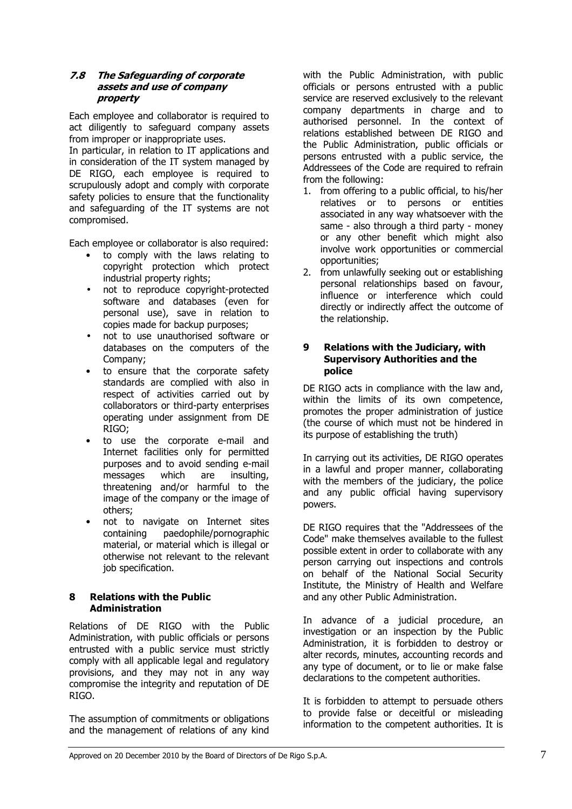#### 7.8 The Safeguarding of corporate assets and use of company property

Each employee and collaborator is required to act diligently to safeguard company assets from improper or inappropriate uses.

In particular, in relation to IT applications and in consideration of the IT system managed by DE RIGO, each employee is required to scrupulously adopt and comply with corporate safety policies to ensure that the functionality and safeguarding of the IT systems are not compromised.

Each employee or collaborator is also required:

- to comply with the laws relating to copyright protection which protect industrial property rights;
- not to reproduce copyright-protected software and databases (even for personal use), save in relation to copies made for backup purposes;
- not to use unauthorised software or databases on the computers of the Company;
- to ensure that the corporate safety standards are complied with also in respect of activities carried out by collaborators or third-party enterprises operating under assignment from DE RIGO;
- to use the corporate e-mail and Internet facilities only for permitted purposes and to avoid sending e-mail messages which are insulting, threatening and/or harmful to the image of the company or the image of others;
- not to navigate on Internet sites containing paedophile/pornographic material, or material which is illegal or otherwise not relevant to the relevant job specification.

## 8 Relations with the Public Administration

Relations of DE RIGO with the Public Administration, with public officials or persons entrusted with a public service must strictly comply with all applicable legal and regulatory provisions, and they may not in any way compromise the integrity and reputation of DE RIGO.

The assumption of commitments or obligations and the management of relations of any kind

with the Public Administration, with public officials or persons entrusted with a public service are reserved exclusively to the relevant company departments in charge and to authorised personnel. In the context of relations established between DE RIGO and the Public Administration, public officials or persons entrusted with a public service, the Addressees of the Code are required to refrain from the following:

- 1. from offering to a public official, to his/her relatives or to persons or entities associated in any way whatsoever with the same - also through a third party - money or any other benefit which might also involve work opportunities or commercial opportunities;
- 2. from unlawfully seeking out or establishing personal relationships based on favour, influence or interference which could directly or indirectly affect the outcome of the relationship.

#### 9 Relations with the Judiciary, with Supervisory Authorities and the police

DE RIGO acts in compliance with the law and, within the limits of its own competence, promotes the proper administration of justice (the course of which must not be hindered in its purpose of establishing the truth)

In carrying out its activities, DE RIGO operates in a lawful and proper manner, collaborating with the members of the judiciary, the police and any public official having supervisory powers.

DE RIGO requires that the "Addressees of the Code" make themselves available to the fullest possible extent in order to collaborate with any person carrying out inspections and controls on behalf of the National Social Security Institute, the Ministry of Health and Welfare and any other Public Administration.

In advance of a judicial procedure, an investigation or an inspection by the Public Administration, it is forbidden to destroy or alter records, minutes, accounting records and any type of document, or to lie or make false declarations to the competent authorities.

It is forbidden to attempt to persuade others to provide false or deceitful or misleading information to the competent authorities. It is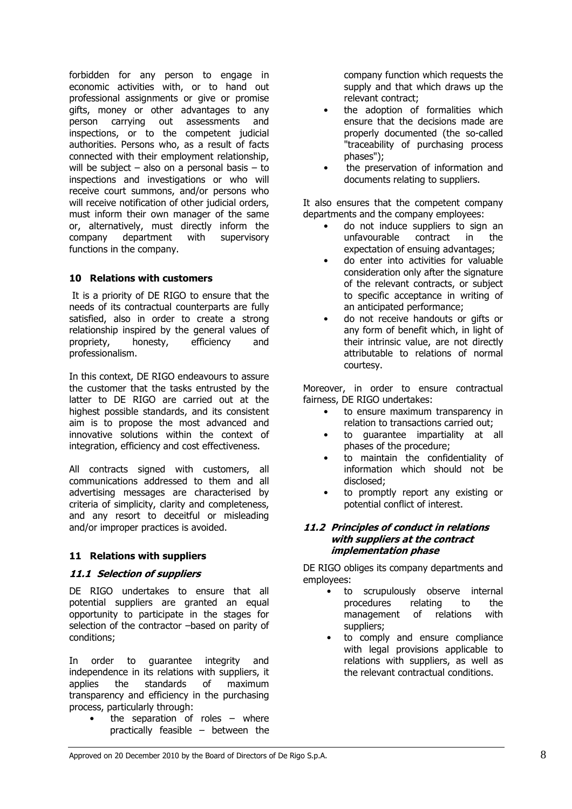forbidden for any person to engage in economic activities with, or to hand out professional assignments or give or promise gifts, money or other advantages to any person carrying out assessments and inspections, or to the competent judicial authorities. Persons who, as a result of facts connected with their employment relationship, will be subject  $-$  also on a personal basis  $-$  to inspections and investigations or who will receive court summons, and/or persons who will receive notification of other judicial orders, must inform their own manager of the same or, alternatively, must directly inform the company department with supervisory functions in the company.

## 10 Relations with customers

 It is a priority of DE RIGO to ensure that the needs of its contractual counterparts are fully satisfied, also in order to create a strong relationship inspired by the general values of propriety, honesty, efficiency and professionalism.

In this context, DE RIGO endeavours to assure the customer that the tasks entrusted by the latter to DE RIGO are carried out at the highest possible standards, and its consistent aim is to propose the most advanced and innovative solutions within the context of integration, efficiency and cost effectiveness.

All contracts signed with customers, all communications addressed to them and all advertising messages are characterised by criteria of simplicity, clarity and completeness, and any resort to deceitful or misleading and/or improper practices is avoided.

## 11 Relations with suppliers

#### 11.1 Selection of suppliers

DE RIGO undertakes to ensure that all potential suppliers are granted an equal opportunity to participate in the stages for selection of the contractor –based on parity of conditions;

In order to guarantee integrity and independence in its relations with suppliers, it applies the standards of maximum transparency and efficiency in the purchasing process, particularly through:

> the separation of roles  $-$  where practically feasible – between the

company function which requests the supply and that which draws up the relevant contract;

- the adoption of formalities which ensure that the decisions made are properly documented (the so-called "traceability of purchasing process phases");
- the preservation of information and documents relating to suppliers.

It also ensures that the competent company departments and the company employees:

- do not induce suppliers to sign an unfavourable contract in the expectation of ensuing advantages;
- do enter into activities for valuable consideration only after the signature of the relevant contracts, or subject to specific acceptance in writing of an anticipated performance;
- do not receive handouts or gifts or any form of benefit which, in light of their intrinsic value, are not directly attributable to relations of normal courtesy.

Moreover, in order to ensure contractual fairness, DE RIGO undertakes:

- to ensure maximum transparency in relation to transactions carried out;
- to guarantee impartiality at all phases of the procedure;
- to maintain the confidentiality of information which should not be disclosed;
- to promptly report any existing or potential conflict of interest.

#### 11.2 Principles of conduct in relations with suppliers at the contract implementation phase

DE RIGO obliges its company departments and employees:

- to scrupulously observe internal procedures relating to the management of relations with suppliers;
- to comply and ensure compliance with legal provisions applicable to relations with suppliers, as well as the relevant contractual conditions.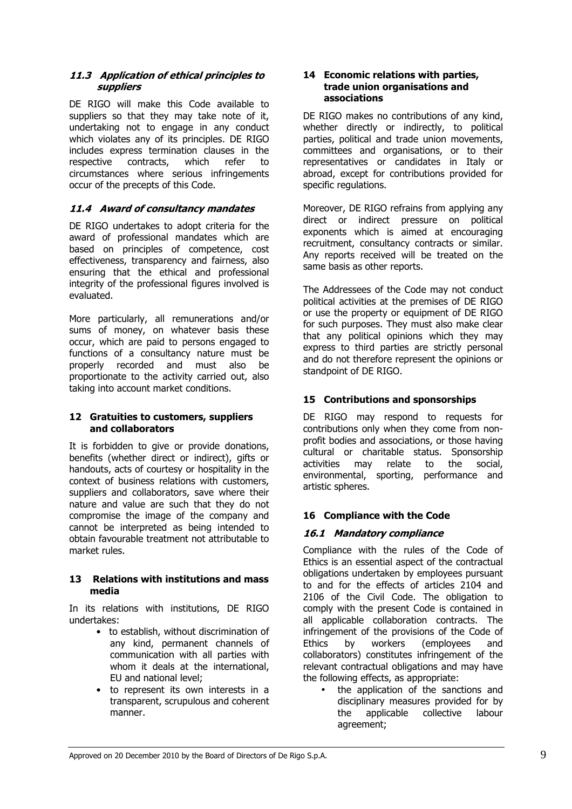#### 11.3 Application of ethical principles to suppliers

DE RIGO will make this Code available to suppliers so that they may take note of it, undertaking not to engage in any conduct which violates any of its principles. DE RIGO includes express termination clauses in the respective contracts, which refer to circumstances where serious infringements occur of the precepts of this Code.

## 11.4 Award of consultancy mandates

DE RIGO undertakes to adopt criteria for the award of professional mandates which are based on principles of competence, cost effectiveness, transparency and fairness, also ensuring that the ethical and professional integrity of the professional figures involved is evaluated.

More particularly, all remunerations and/or sums of money, on whatever basis these occur, which are paid to persons engaged to functions of a consultancy nature must be properly recorded and must also be proportionate to the activity carried out, also taking into account market conditions.

## 12 Gratuities to customers, suppliers and collaborators

It is forbidden to give or provide donations, benefits (whether direct or indirect), gifts or handouts, acts of courtesy or hospitality in the context of business relations with customers, suppliers and collaborators, save where their nature and value are such that they do not compromise the image of the company and cannot be interpreted as being intended to obtain favourable treatment not attributable to market rules.

## 13 Relations with institutions and mass media

In its relations with institutions, DE RIGO undertakes:

- to establish, without discrimination of any kind, permanent channels of communication with all parties with whom it deals at the international, EU and national level;
- to represent its own interests in a transparent, scrupulous and coherent manner.

#### 14 Economic relations with parties, trade union organisations and associations

DE RIGO makes no contributions of any kind, whether directly or indirectly, to political parties, political and trade union movements, committees and organisations, or to their representatives or candidates in Italy or abroad, except for contributions provided for specific regulations.

Moreover, DE RIGO refrains from applying any direct or indirect pressure on political exponents which is aimed at encouraging recruitment, consultancy contracts or similar. Any reports received will be treated on the same basis as other reports.

The Addressees of the Code may not conduct political activities at the premises of DE RIGO or use the property or equipment of DE RIGO for such purposes. They must also make clear that any political opinions which they may express to third parties are strictly personal and do not therefore represent the opinions or standpoint of DE RIGO.

## 15 Contributions and sponsorships

DE RIGO may respond to requests for contributions only when they come from nonprofit bodies and associations, or those having cultural or charitable status. Sponsorship activities may relate to the social, environmental, sporting, performance and artistic spheres.

## 16 Compliance with the Code

## 16.1 Mandatory compliance

Compliance with the rules of the Code of Ethics is an essential aspect of the contractual obligations undertaken by employees pursuant to and for the effects of articles 2104 and 2106 of the Civil Code. The obligation to comply with the present Code is contained in all applicable collaboration contracts. The infringement of the provisions of the Code of Ethics by workers (employees and collaborators) constitutes infringement of the relevant contractual obligations and may have the following effects, as appropriate:

• the application of the sanctions and disciplinary measures provided for by<br>the applicable collective labour the applicable collective labour agreement;